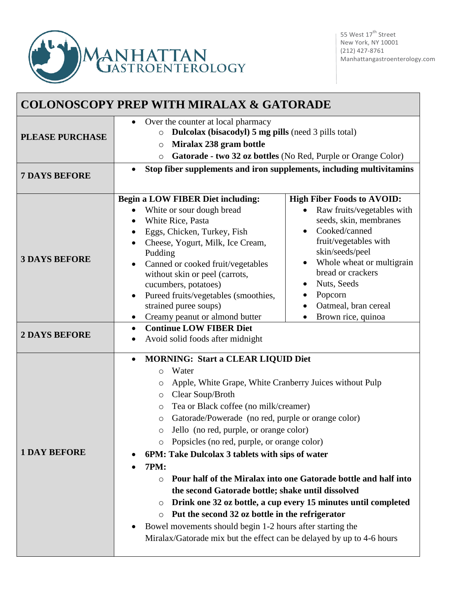

| <b>COLONOSCOPY PREP WITH MIRALAX &amp; GATORADE</b> |                                                                                                                                                                                                                                                                                                                                                                                                                                                                                                                                                                                                                                                                                                                                                                                                                                                                   |                                                                                                                                                                                                                                                                                               |  |
|-----------------------------------------------------|-------------------------------------------------------------------------------------------------------------------------------------------------------------------------------------------------------------------------------------------------------------------------------------------------------------------------------------------------------------------------------------------------------------------------------------------------------------------------------------------------------------------------------------------------------------------------------------------------------------------------------------------------------------------------------------------------------------------------------------------------------------------------------------------------------------------------------------------------------------------|-----------------------------------------------------------------------------------------------------------------------------------------------------------------------------------------------------------------------------------------------------------------------------------------------|--|
| <b>PLEASE PURCHASE</b>                              | Over the counter at local pharmacy<br><b>Dulcolax (bisacodyl)</b> 5 mg pills (need 3 pills total)<br>$\circ$<br>Miralax 238 gram bottle<br>$\circ$<br>Gatorade - two 32 oz bottles (No Red, Purple or Orange Color)<br>$\circ$                                                                                                                                                                                                                                                                                                                                                                                                                                                                                                                                                                                                                                    |                                                                                                                                                                                                                                                                                               |  |
| <b>7 DAYS BEFORE</b>                                | Stop fiber supplements and iron supplements, including multivitamins                                                                                                                                                                                                                                                                                                                                                                                                                                                                                                                                                                                                                                                                                                                                                                                              |                                                                                                                                                                                                                                                                                               |  |
| <b>3 DAYS BEFORE</b>                                | <b>Begin a LOW FIBER Diet including:</b><br>White or sour dough bread<br>White Rice, Pasta<br>$\bullet$<br>Eggs, Chicken, Turkey, Fish<br>٠<br>Cheese, Yogurt, Milk, Ice Cream,<br>Pudding<br>Canned or cooked fruit/vegetables<br>$\bullet$<br>without skin or peel (carrots,<br>cucumbers, potatoes)<br>Pureed fruits/vegetables (smoothies,<br>$\bullet$<br>strained puree soups)<br>Creamy peanut or almond butter<br>$\bullet$<br><b>Continue LOW FIBER Diet</b><br>$\bullet$                                                                                                                                                                                                                                                                                                                                                                                | <b>High Fiber Foods to AVOID:</b><br>Raw fruits/vegetables with<br>seeds, skin, membranes<br>Cooked/canned<br>$\bullet$<br>fruit/vegetables with<br>skin/seeds/peel<br>Whole wheat or multigrain<br>bread or crackers<br>Nuts, Seeds<br>Popcorn<br>Oatmeal, bran cereal<br>Brown rice, quinoa |  |
| <b>2 DAYS BEFORE</b>                                | Avoid solid foods after midnight                                                                                                                                                                                                                                                                                                                                                                                                                                                                                                                                                                                                                                                                                                                                                                                                                                  |                                                                                                                                                                                                                                                                                               |  |
| <b>1 DAY BEFORE</b>                                 | <b>MORNING: Start a CLEAR LIQUID Diet</b><br>$\bullet$<br>Water<br>$\circ$<br>Apple, White Grape, White Cranberry Juices without Pulp<br>O<br>Clear Soup/Broth<br>O<br>Tea or Black coffee (no milk/creamer)<br>$\circ$<br>Gatorade/Powerade (no red, purple or orange color)<br>O<br>Jello (no red, purple, or orange color)<br>Popsicles (no red, purple, or orange color)<br>O<br>6PM: Take Dulcolax 3 tablets with sips of water<br><b>7PM:</b><br>Pour half of the Miralax into one Gatorade bottle and half into<br>$\circ$<br>the second Gatorade bottle; shake until dissolved<br>Drink one 32 oz bottle, a cup every 15 minutes until completed<br>O<br>Put the second 32 oz bottle in the refrigerator<br>$\circ$<br>Bowel movements should begin 1-2 hours after starting the<br>Miralax/Gatorade mix but the effect can be delayed by up to 4-6 hours |                                                                                                                                                                                                                                                                                               |  |